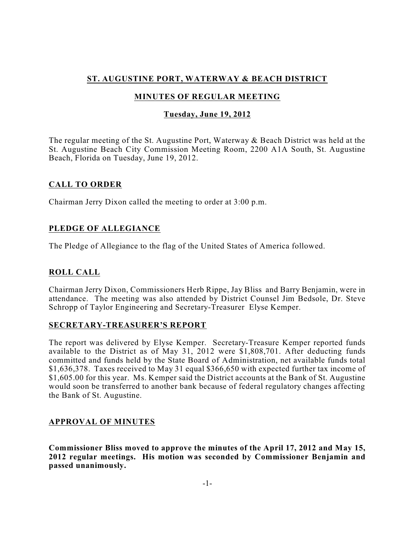# **ST. AUGUSTINE PORT, WATERWAY & BEACH DISTRICT**

# **MINUTES OF REGULAR MEETING**

## **Tuesday, June 19, 2012**

The regular meeting of the St. Augustine Port, Waterway & Beach District was held at the St. Augustine Beach City Commission Meeting Room, 2200 A1A South, St. Augustine Beach, Florida on Tuesday, June 19, 2012.

## **CALL TO ORDER**

Chairman Jerry Dixon called the meeting to order at 3:00 p.m.

## **PLEDGE OF ALLEGIANCE**

The Pledge of Allegiance to the flag of the United States of America followed.

# **ROLL CALL**

Chairman Jerry Dixon, Commissioners Herb Rippe, Jay Bliss and Barry Benjamin, were in attendance. The meeting was also attended by District Counsel Jim Bedsole, Dr. Steve Schropp of Taylor Engineering and Secretary-Treasurer Elyse Kemper.

## **SECRETARY-TREASURER'S REPORT**

The report was delivered by Elyse Kemper. Secretary-Treasure Kemper reported funds available to the District as of May 31, 2012 were \$1,808,701. After deducting funds committed and funds held by the State Board of Administration, net available funds total \$1,636,378. Taxes received to May 31 equal \$366,650 with expected further tax income of \$1,605.00 for this year. Ms. Kemper said the District accounts at the Bank of St. Augustine would soon be transferred to another bank because of federal regulatory changes affecting the Bank of St. Augustine.

## **APPROVAL OF MINUTES**

**Commissioner Bliss moved to approve the minutes of the April 17, 2012 and May 15, 2012 regular meetings. His motion was seconded by Commissioner Benjamin and passed unanimously.**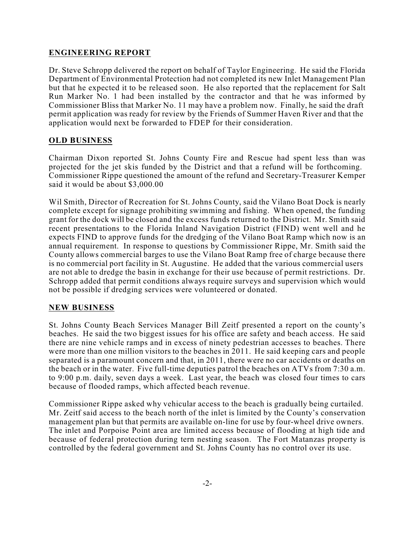## **ENGINEERING REPORT**

Dr. Steve Schropp delivered the report on behalf of Taylor Engineering. He said the Florida Department of Environmental Protection had not completed its new Inlet Management Plan but that he expected it to be released soon. He also reported that the replacement for Salt Run Marker No. 1 had been installed by the contractor and that he was informed by Commissioner Bliss that Marker No. 11 may have a problem now. Finally, he said the draft permit application was ready for review by the Friends of Summer Haven River and that the application would next be forwarded to FDEP for their consideration.

## **OLD BUSINESS**

Chairman Dixon reported St. Johns County Fire and Rescue had spent less than was projected for the jet skis funded by the District and that a refund will be forthcoming. Commissioner Rippe questioned the amount of the refund and Secretary-Treasurer Kemper said it would be about \$3,000.00

Wil Smith, Director of Recreation for St. Johns County, said the Vilano Boat Dock is nearly complete except for signage prohibiting swimming and fishing. When opened, the funding grant for the dock will be closed and the excess funds returned to the District. Mr. Smith said recent presentations to the Florida Inland Navigation District (FIND) went well and he expects FIND to approve funds for the dredging of the Vilano Boat Ramp which now is an annual requirement. In response to questions by Commissioner Rippe, Mr. Smith said the County allows commercial barges to use the Vilano Boat Ramp free of charge because there is no commercial port facility in St. Augustine. He added that the various commercial users are not able to dredge the basin in exchange for their use because of permit restrictions. Dr. Schropp added that permit conditions always require surveys and supervision which would not be possible if dredging services were volunteered or donated.

#### **NEW BUSINESS**

St. Johns County Beach Services Manager Bill Zeitf presented a report on the county's beaches. He said the two biggest issues for his office are safety and beach access. He said there are nine vehicle ramps and in excess of ninety pedestrian accesses to beaches. There were more than one million visitors to the beaches in 2011. He said keeping cars and people separated is a paramount concern and that, in 2011, there were no car accidents or deaths on the beach or in the water. Five full-time deputies patrol the beaches on ATVs from 7:30 a.m. to 9:00 p.m. daily, seven days a week. Last year, the beach was closed four times to cars because of flooded ramps, which affected beach revenue.

Commissioner Rippe asked why vehicular access to the beach is gradually being curtailed. Mr. Zeitf said access to the beach north of the inlet is limited by the County's conservation management plan but that permits are available on-line for use by four-wheel drive owners. The inlet and Porpoise Point area are limited access because of flooding at high tide and because of federal protection during tern nesting season. The Fort Matanzas property is controlled by the federal government and St. Johns County has no control over its use.